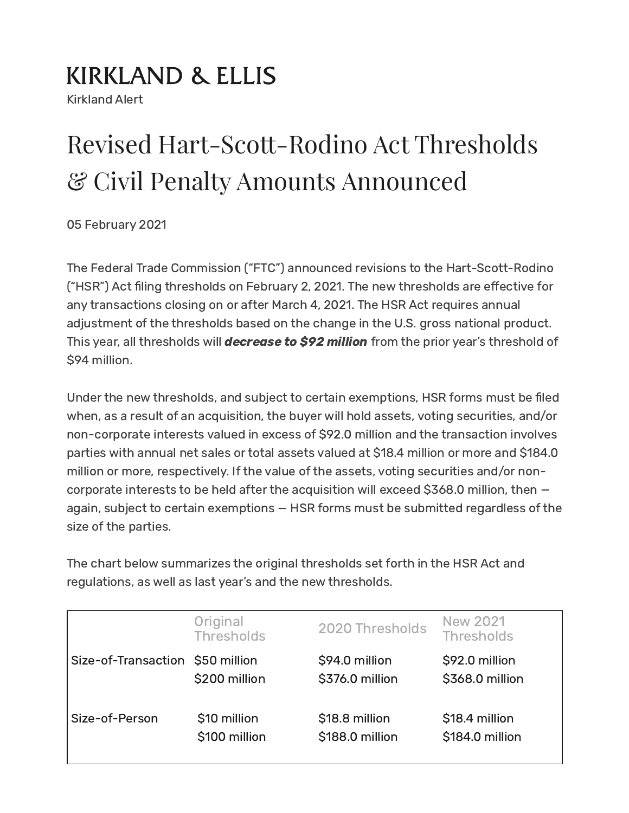## **KIRKLAND & ELLIS**

Kirkland Alert

# Revised Hart-Scott-Rodino Act Thresholds & Civil Penalty Amounts Announced

05 February 2021

The Federal Trade Commission ("FTC") announced revisions to the Hart-Scott-Rodino ("HSR") Act filing thresholds on February 2, 2021. The new thresholds are effective for any transactions closing on or after March 4, 2021. The HSR Act requires annual adjustment of the thresholds based on the change in the U.S. gross national product. This year, all thresholds will *decrease to \$92 million* from the prior year's threshold of \$94 million.

Under the new thresholds, and subject to certain exemptions, HSR forms must be filed when, as a result of an acquisition, the buyer will hold assets, voting securities, and/or non-corporate interests valued in excess of \$92.0 million and the transaction involves parties with annual net sales or total assets valued at \$18.4 million or more and \$184.0 million or more, respectively. If the value of the assets, voting securities and/or noncorporate interests to be held after the acquisition will exceed \$368.0 million, then again, subject to certain exemptions — HSR forms must be submitted regardless of the size of the parties.

The chart below summarizes the original thresholds set forth in the HSR Act and regulations, as well as last year's and the new thresholds.

|                                  | Original<br><b>Thresholds</b> | 2020 Thresholds | <b>New 2021</b><br><b>Thresholds</b> |
|----------------------------------|-------------------------------|-----------------|--------------------------------------|
| Size-of-Transaction \$50 million |                               | \$94.0 million  | \$92.0 million                       |
|                                  | \$200 million                 | \$376.0 million | \$368.0 million                      |
| Size-of-Person                   | \$10 million                  | \$18.8 million  | \$18.4 million                       |
|                                  | \$100 million                 | \$188.0 million | \$184.0 million                      |
|                                  |                               |                 |                                      |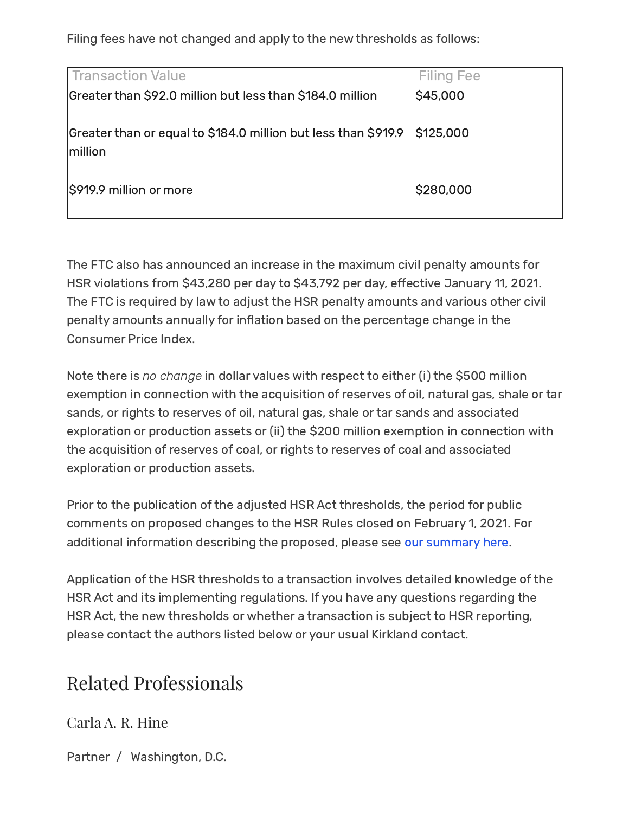Filing fees have not changed and apply to the new thresholds as follows:

| Transaction Value                                                                   | <b>Filing Fee</b> |
|-------------------------------------------------------------------------------------|-------------------|
| Greater than \$92.0 million but less than \$184.0 million                           | \$45,000          |
| Greater than or equal to \$184.0 million but less than \$919.9 \$125,000<br>million |                   |
| S919.9 million or more                                                              | \$280,000         |

The FTC also has announced an increase in the maximum civil penalty amounts for HSR violations from \$43,280 per day to \$43,792 per day, effective January 11, 2021. The FTC is required by law to adjust the HSR penalty amounts and various other civil penalty amounts annually for inflation based on the percentage change in the Consumer Price Index.

Note there is no change in dollar values with respect to either (i) the \$500 million exemption in connection with the acquisition of reserves of oil, natural gas, shale or tar sands, or rights to reserves of oil, natural gas, shale or tar sands and associated exploration or production assets or (ii) the \$200 million exemption in connection with the acquisition of reserves of coal, or rights to reserves of coal and associated exploration or production assets.

Prior to the publication of the adjusted HSR Act thresholds, the period for public comments on proposed changes to the HSR Rules closed on February 1, 2021. For additional information describing the proposed, please see our [summary](https://www.kirkland.com/publications/kirkland-alert/2021/01/proposed-changes-to-the-hsr-act-rules) here.

Application of the HSR thresholds to a transaction involves detailed knowledge of the HSR Act and its implementing regulations. If you have any questions regarding the HSR Act, the new thresholds or whether a transaction is subject to HSR reporting, please contact the authors listed below or your usual Kirkland contact.

#### Related Professionals

[Carla](https://www.kirkland.com/lawyers/h/hine-carla-a-r) A. R. Hine

Partner / [Washington,](https://www.kirkland.com/offices/washington-dc) D.C.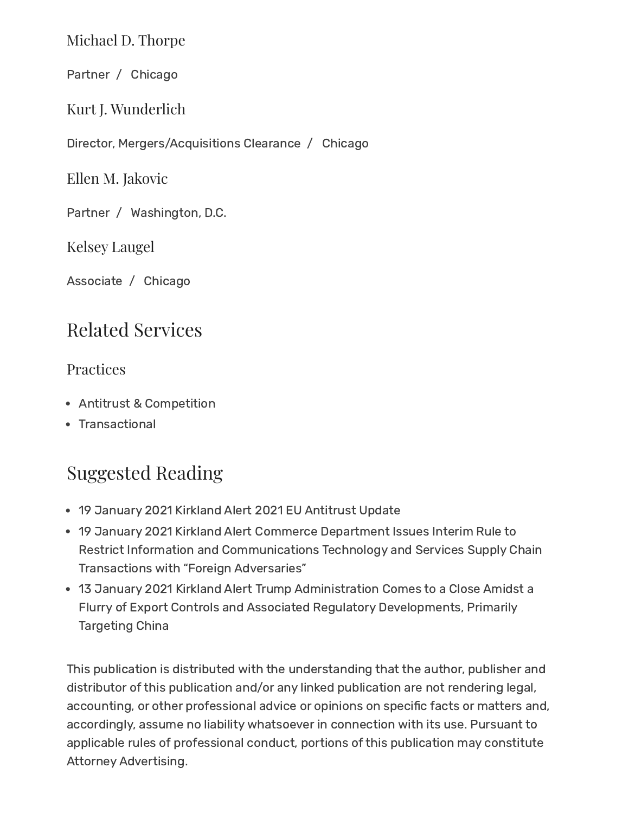[Michael](https://www.kirkland.com/lawyers/t/thorpe-michael-d) D. Thorpe

Partner / [Chicago](https://www.kirkland.com/offices/chicago)

Kurt J. Wunderlich

Director, Mergers/Acquisitions Clearance / [Chicago](https://www.kirkland.com/offices/chicago)

Ellen M. [Jakovic](https://www.kirkland.com/lawyers/j/jakovic-ellen-m)

Partner / [Washington,](https://www.kirkland.com/offices/washington-dc) D.C.

Kelsey [Laugel](https://www.kirkland.com/lawyers/l/laugel-kelsey)

Associate / [Chicago](https://www.kirkland.com/offices/chicago)

#### Related Services

#### Practices

- Antitrust & [Competition](https://www.kirkland.com/services/practices/litigation/antitrust--competition)
- [Transactional](https://www.kirkland.com/services/practices/transactional)

### Suggested Reading

- 19 January 2021 Kirkland Alert 2021 EU [Antitrust](https://www.kirkland.com/publications/kirkland-alert/2021/01/2021-eu-antitrust-update) Update
- 19 January 2021 Kirkland Alert Commerce Department Issues Interim Rule to Restrict Information and [Communications](https://www.kirkland.com/publications/kirkland-alert/2021/01/interim-rule-on-icts-supply-chain-transactions) Technology and Services Supply Chain Transactions with "Foreign Adversaries"
- 13 January 2021 Kirkland Alert Trump Administration Comes to a Close Amidst a Flurry of Export Controls and Associated Regulatory [Developments,](https://www.kirkland.com/publications/kirkland-alert/2021/01/year-end-export-controls) Primarily Targeting China

This publication is distributed with the understanding that the author, publisher and distributor of this publication and/or any linked publication are not rendering legal, accounting, or other professional advice or opinions on specific facts or matters and, accordingly, assume no liability whatsoever in connection with its use. Pursuant to applicable rules of professional conduct, portions of this publication may constitute Attorney Advertising.